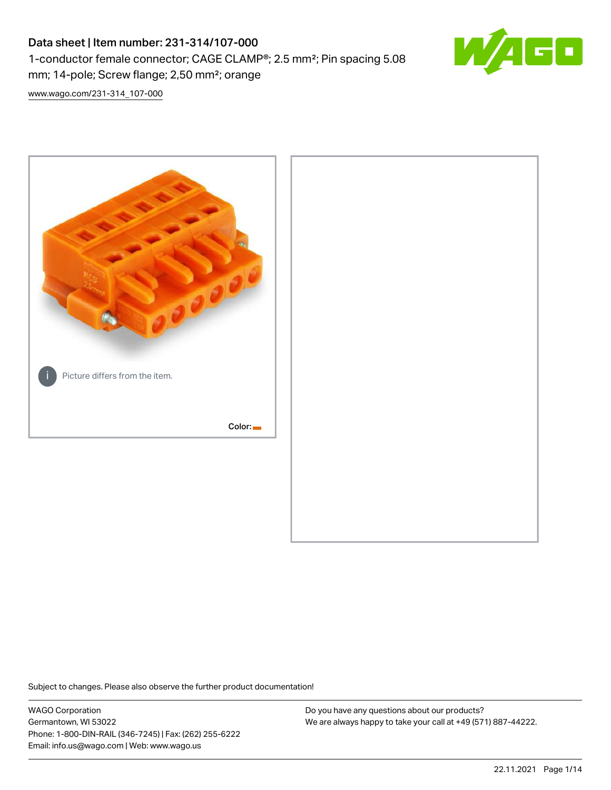# Data sheet | Item number: 231-314/107-000 1-conductor female connector; CAGE CLAMP®; 2.5 mm²; Pin spacing 5.08 mm; 14-pole; Screw flange; 2,50 mm²; orange



[www.wago.com/231-314\\_107-000](http://www.wago.com/231-314_107-000)



Subject to changes. Please also observe the further product documentation!

WAGO Corporation Germantown, WI 53022 Phone: 1-800-DIN-RAIL (346-7245) | Fax: (262) 255-6222 Email: info.us@wago.com | Web: www.wago.us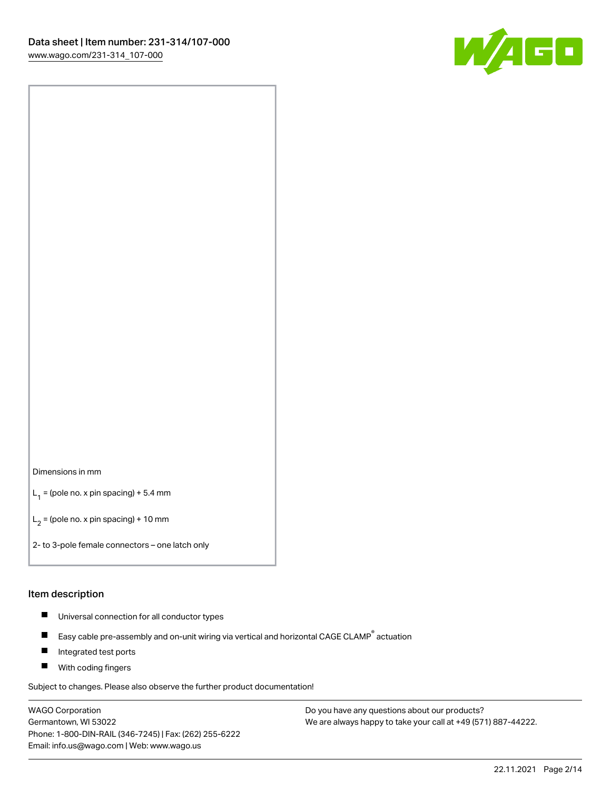

#### Dimensions in mm

 $L_1$  = (pole no. x pin spacing) + 5.4 mm

 $L_2$  = (pole no. x pin spacing) + 10 mm

2- to 3-pole female connectors – one latch only

#### Item description

- $\blacksquare$ Universal connection for all conductor types
- Easy cable pre-assembly and on-unit wiring via vertical and horizontal CAGE CLAMP<sup>®</sup> actuation  $\blacksquare$
- П Integrated test ports
- $\blacksquare$ With coding fingers

Subject to changes. Please also observe the further product documentation!

WAGO Corporation Germantown, WI 53022 Phone: 1-800-DIN-RAIL (346-7245) | Fax: (262) 255-6222 Email: info.us@wago.com | Web: www.wago.us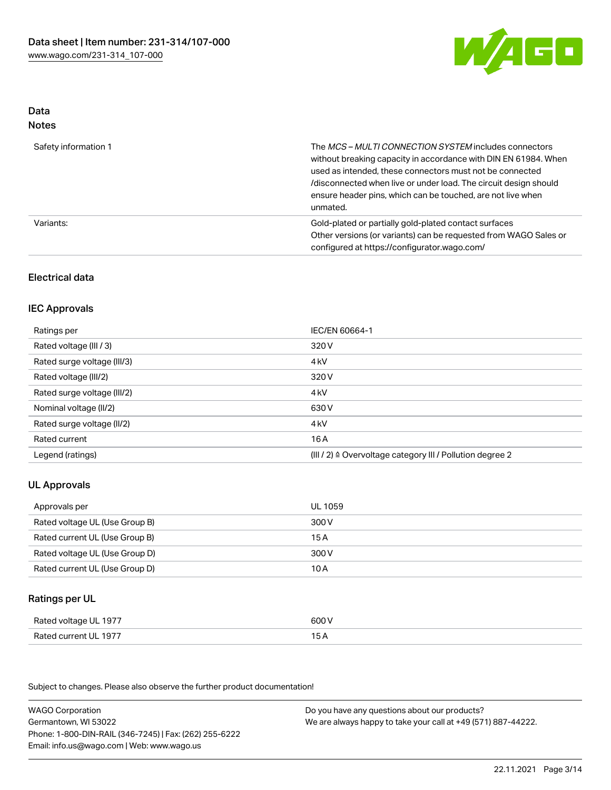

# Data

| M.<br>×<br>×<br>۹<br>٠<br>۰, |
|------------------------------|
|------------------------------|

| Safety information 1 | The <i>MCS – MULTI CONNECTION SYSTEM</i> includes connectors<br>without breaking capacity in accordance with DIN EN 61984. When<br>used as intended, these connectors must not be connected<br>/disconnected when live or under load. The circuit design should<br>ensure header pins, which can be touched, are not live when<br>unmated. |
|----------------------|--------------------------------------------------------------------------------------------------------------------------------------------------------------------------------------------------------------------------------------------------------------------------------------------------------------------------------------------|
| Variants:            | Gold-plated or partially gold-plated contact surfaces<br>Other versions (or variants) can be requested from WAGO Sales or<br>configured at https://configurator.wago.com/                                                                                                                                                                  |

# Electrical data

# IEC Approvals

| Ratings per                 | IEC/EN 60664-1                                                       |
|-----------------------------|----------------------------------------------------------------------|
| Rated voltage (III / 3)     | 320 V                                                                |
| Rated surge voltage (III/3) | 4 <sub>kV</sub>                                                      |
| Rated voltage (III/2)       | 320 V                                                                |
| Rated surge voltage (III/2) | 4 <sub>k</sub> V                                                     |
| Nominal voltage (II/2)      | 630 V                                                                |
| Rated surge voltage (II/2)  | 4 <sub>k</sub> V                                                     |
| Rated current               | 16A                                                                  |
| Legend (ratings)            | (III / 2) $\triangleq$ Overvoltage category III / Pollution degree 2 |

# UL Approvals

| Approvals per                  | UL 1059 |
|--------------------------------|---------|
| Rated voltage UL (Use Group B) | 300 V   |
| Rated current UL (Use Group B) | 15A     |
| Rated voltage UL (Use Group D) | 300 V   |
| Rated current UL (Use Group D) | 10 A    |

# Ratings per UL

| Rated voltage UL 1977 | 600 V |
|-----------------------|-------|
| Rated current UL 1977 | 15 A  |

Subject to changes. Please also observe the further product documentation!

| <b>WAGO Corporation</b>                                | Do you have any questions about our products?                 |
|--------------------------------------------------------|---------------------------------------------------------------|
| Germantown, WI 53022                                   | We are always happy to take your call at +49 (571) 887-44222. |
| Phone: 1-800-DIN-RAIL (346-7245)   Fax: (262) 255-6222 |                                                               |
| Email: info.us@wago.com   Web: www.wago.us             |                                                               |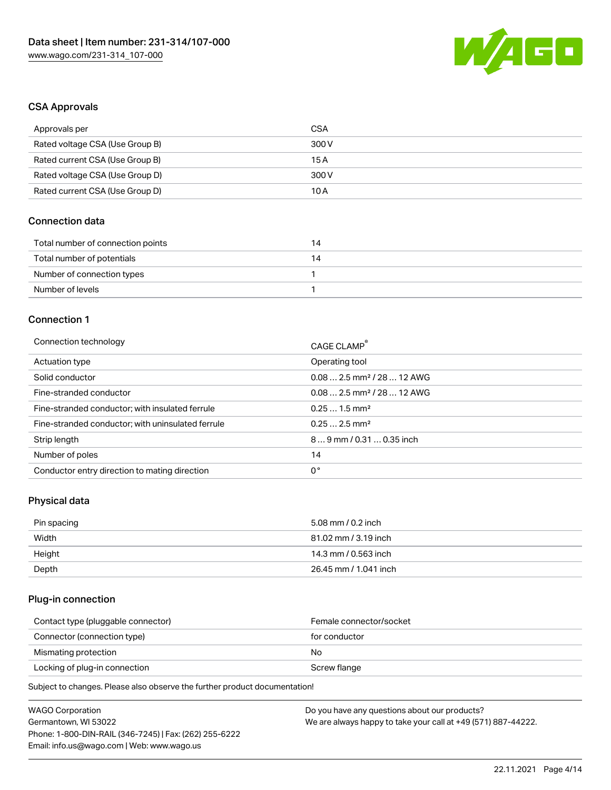

## CSA Approvals

| Approvals per                   | CSA   |
|---------------------------------|-------|
| Rated voltage CSA (Use Group B) | 300 V |
| Rated current CSA (Use Group B) | 15 A  |
| Rated voltage CSA (Use Group D) | 300 V |
| Rated current CSA (Use Group D) | 10 A  |

## Connection data

| Total number of connection points | 14 |
|-----------------------------------|----|
| Total number of potentials        | 14 |
| Number of connection types        |    |
| Number of levels                  |    |

## Connection 1

| Connection technology                             | CAGE CLAMP <sup>®</sup>                |
|---------------------------------------------------|----------------------------------------|
| Actuation type                                    | Operating tool                         |
| Solid conductor                                   | $0.082.5$ mm <sup>2</sup> / 28  12 AWG |
| Fine-stranded conductor                           | $0.082.5$ mm <sup>2</sup> / 28  12 AWG |
| Fine-stranded conductor; with insulated ferrule   | $0.251.5$ mm <sup>2</sup>              |
| Fine-stranded conductor; with uninsulated ferrule | $0.252.5$ mm <sup>2</sup>              |
| Strip length                                      | $89$ mm / 0.31  0.35 inch              |
| Number of poles                                   | 14                                     |
| Conductor entry direction to mating direction     | 0°                                     |

# Physical data

| Pin spacing | 5.08 mm / 0.2 inch    |
|-------------|-----------------------|
| Width       | 81.02 mm / 3.19 inch  |
| Height      | 14.3 mm / 0.563 inch  |
| Depth       | 26.45 mm / 1.041 inch |

## Plug-in connection

| Contact type (pluggable connector) | Female connector/socket |
|------------------------------------|-------------------------|
| Connector (connection type)        | for conductor           |
| Mismating protection               | No                      |
| Locking of plug-in connection      | Screw flange            |
|                                    |                         |

Subject to changes. Please also observe the further product documentation!

| WAGO Corporation                                       | Do you have any questions about our products?                 |
|--------------------------------------------------------|---------------------------------------------------------------|
| Germantown, WI 53022                                   | We are always happy to take your call at +49 (571) 887-44222. |
| Phone: 1-800-DIN-RAIL (346-7245)   Fax: (262) 255-6222 |                                                               |
| Email: info.us@wago.com   Web: www.wago.us             |                                                               |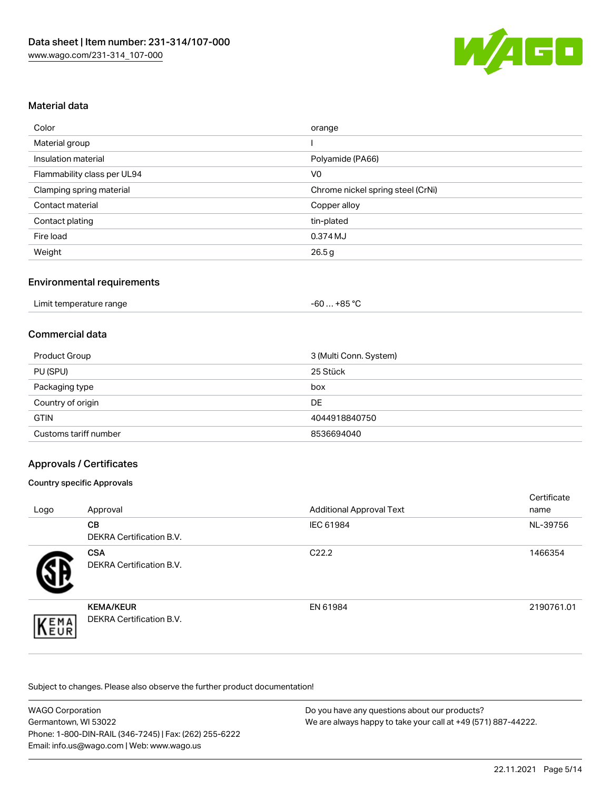

## Material data

| Color                       | orange                            |
|-----------------------------|-----------------------------------|
| Material group              |                                   |
| Insulation material         | Polyamide (PA66)                  |
| Flammability class per UL94 | V <sub>0</sub>                    |
| Clamping spring material    | Chrome nickel spring steel (CrNi) |
| Contact material            | Copper alloy                      |
| Contact plating             | tin-plated                        |
| Fire load                   | 0.374 MJ                          |
| Weight                      | 26.5g                             |

## Environmental requirements

| Limit temperature range | ∕…+85 °Ր<br>-60 |  |
|-------------------------|-----------------|--|
|                         |                 |  |

## Commercial data

| Product Group         | 3 (Multi Conn. System) |
|-----------------------|------------------------|
| PU (SPU)              | 25 Stück               |
| Packaging type        | box                    |
| Country of origin     | DE                     |
| <b>GTIN</b>           | 4044918840750          |
| Customs tariff number | 8536694040             |

## Approvals / Certificates

#### Country specific Approvals

| Logo | Approval                                            | <b>Additional Approval Text</b> | Certificate<br>name |
|------|-----------------------------------------------------|---------------------------------|---------------------|
|      | CВ<br><b>DEKRA Certification B.V.</b>               | IEC 61984                       | NL-39756            |
|      | <b>CSA</b><br>DEKRA Certification B.V.              | C <sub>22.2</sub>               | 1466354             |
| EMA  | <b>KEMA/KEUR</b><br><b>DEKRA Certification B.V.</b> | EN 61984                        | 2190761.01          |

Subject to changes. Please also observe the further product documentation!

| <b>WAGO Corporation</b>                                | Do you have any questions about our products?                 |
|--------------------------------------------------------|---------------------------------------------------------------|
| Germantown, WI 53022                                   | We are always happy to take your call at +49 (571) 887-44222. |
| Phone: 1-800-DIN-RAIL (346-7245)   Fax: (262) 255-6222 |                                                               |
| Email: info.us@wago.com   Web: www.wago.us             |                                                               |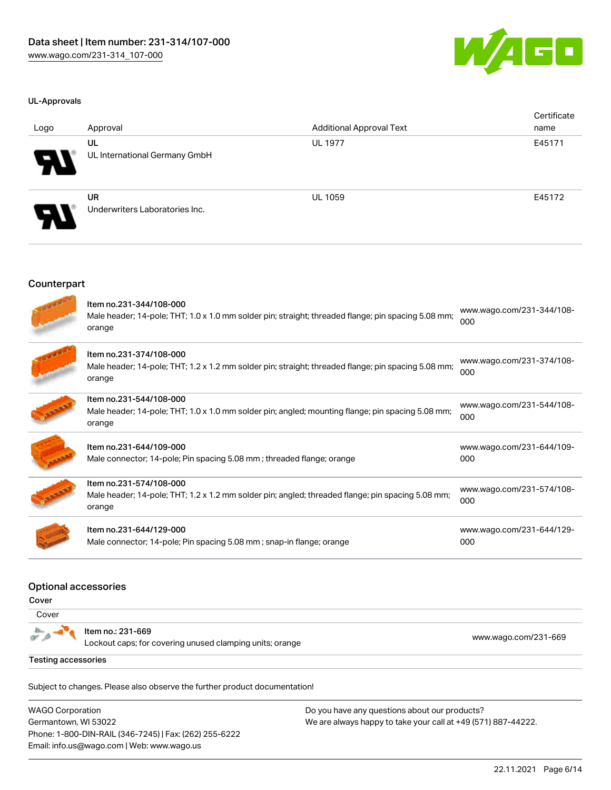

#### UL-Approvals

| Logo                       | Approval                                    | <b>Additional Approval Text</b> | Certificate<br>name |
|----------------------------|---------------------------------------------|---------------------------------|---------------------|
| $\boldsymbol{\mathcal{A}}$ | UL<br>UL International Germany GmbH         | <b>UL 1977</b>                  | E45171              |
| $\boldsymbol{\theta}$      | <b>UR</b><br>Underwriters Laboratories Inc. | <b>UL 1059</b>                  | E45172              |

#### Counterpart

| ٠ |  |
|---|--|

| Item no.231-344/108-000<br>Male header; 14-pole; THT; 1.0 x 1.0 mm solder pin; straight; threaded flange; pin spacing 5.08 mm;<br>orange | www.wago.com/231-344/108-<br>000 |
|------------------------------------------------------------------------------------------------------------------------------------------|----------------------------------|
| Item no.231-374/108-000<br>Male header; 14-pole; THT; 1.2 x 1.2 mm solder pin; straight; threaded flange; pin spacing 5.08 mm;<br>orange | www.wago.com/231-374/108-<br>000 |
| Item no.231-544/108-000<br>Male header; 14-pole; THT; 1.0 x 1.0 mm solder pin; angled; mounting flange; pin spacing 5.08 mm;<br>orange   | www.wago.com/231-544/108-<br>000 |
| Item no.231-644/109-000<br>Male connector; 14-pole; Pin spacing 5.08 mm; threaded flange; orange                                         | www.wago.com/231-644/109-<br>000 |
| Item no.231-574/108-000<br>Male header; 14-pole; THT; 1.2 x 1.2 mm solder pin; angled; threaded flange; pin spacing 5.08 mm;<br>orange   | www.wago.com/231-574/108-<br>000 |
| Item no.231-644/129-000<br>Male connector; 14-pole; Pin spacing 5.08 mm; snap-in flange; orange                                          | www.wago.com/231-644/129-<br>000 |

#### Optional accessories

Cover

**Cover** 

Item no.: 231-669

Lockout caps; for covering unused clamping units; orange [www.wago.com/231-669](http://www.wago.com/231-669)

Testing accessories

Subject to changes. Please also observe the further product documentation!

WAGO Corporation Germantown, WI 53022 Phone: 1-800-DIN-RAIL (346-7245) | Fax: (262) 255-6222 Email: info.us@wago.com | Web: www.wago.us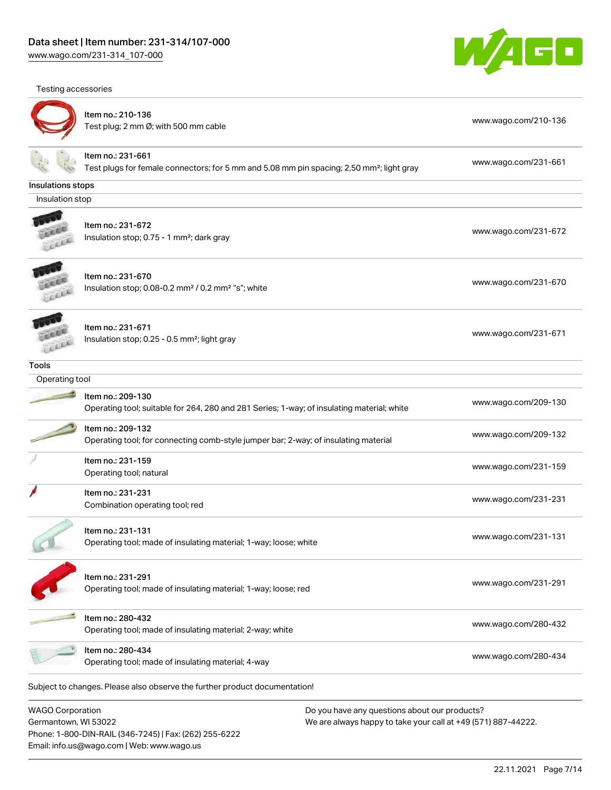[www.wago.com/231-314\\_107-000](http://www.wago.com/231-314_107-000)





# Item no.: 210-136

ntem no.: 210 100<br>Test plug; 2 mm Ø; with 500 mm cable [www.wago.com/210-136](http://www.wago.com/210-136)



# Item no.: 231-661

Test plugs for female connectors; for 5 mm and 5.08 mm pin spacing; 2,50 mm²; light gray [www.wago.com/231-661](http://www.wago.com/231-661)

#### Insulations stops

Insulation stop



#### Item no.: 231-672 Insulation stop; 0.75 - 1 mm<sup>2</sup>; dark gray [www.wago.com/231-672](http://www.wago.com/231-672)<br>Insulation stop; 0.75 - 1 mm<sup>2</sup>; dark gray



Item no.: 231-670 Insulation stop; 0.08-0.2 mm<sup>2</sup> / 0.2 mm<sup>2</sup> "s"; white [www.wago.com/231-670](http://www.wago.com/231-670) www.wago.com/231-670

Item no.: 231-671 Insulation stop; 0.25 - 0.5 mm²; light gray [www.wago.com/231-671](http://www.wago.com/231-671) www.wago.com/231-671 Leee

#### Tools

# Operating tool Item no.: 209-130 Operating tool; suitable for 264, 280 and 281 Series; 1-way; of insulating material; white [www.wago.com/209-130](http://www.wago.com/209-130) Item no.: 209-132 Nettrition: 200 TO2<br>Operating tool; for connecting comb-style jumper bar; 2-way; of insulating material [www.wago.com/209-132](http://www.wago.com/209-132) Item no.: 231-159 Next the set to the control of the control of the control of the control of the control of the control of the control of the control of the control of the control of the control of the control of the control of the control Item no.: 231-231 Combination operating tool; red [www.wago.com/231-231](http://www.wago.com/231-231) Item no.: 231-131 ntem io... 2014.<br>Operating tool; made of insulating material; 1-way; loose; white [www.wago.com/231-131](http://www.wago.com/231-131) www.wago.com/231-131



Item no.: 231-291 Operating tool; made of insulating material; 1-way; loose; red [www.wago.com/231-291](http://www.wago.com/231-291)

Item no.: 280-432 nem no... 200-402<br>Operating tool; made of insulating material; 2-way; white [www.wago.com/280-432](http://www.wago.com/280-432)

Item no.: 280-434 Operating tool; made of insulating material; 4-way [www.wago.com/280-434](http://www.wago.com/280-434)<br>
Operating tool; made of insulating material; 4-way

Subject to changes. Please also observe the further product documentation!

WAGO Corporation Germantown, WI 53022 Phone: 1-800-DIN-RAIL (346-7245) | Fax: (262) 255-6222 Email: info.us@wago.com | Web: www.wago.us

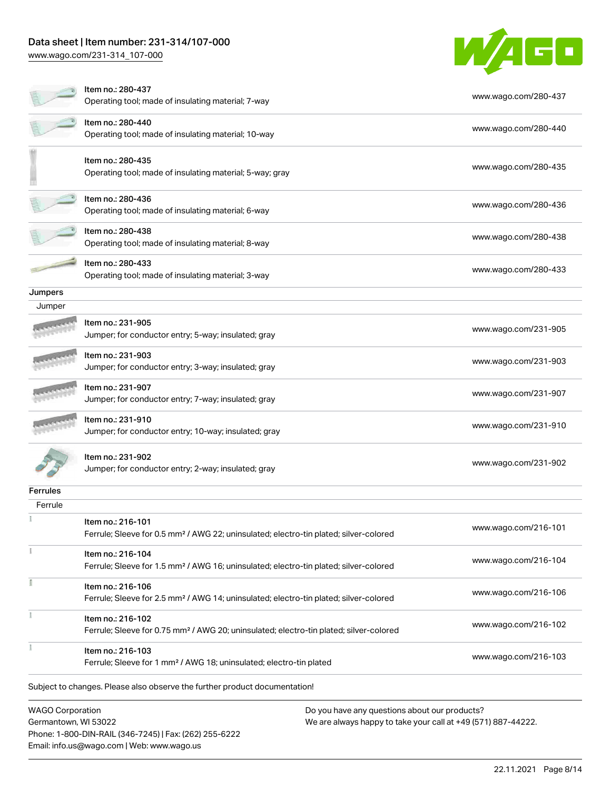## Data sheet | Item number: 231-314/107-000

Email: info.us@wago.com | Web: www.wago.us

[www.wago.com/231-314\\_107-000](http://www.wago.com/231-314_107-000)



|                                                 | ltem no.: 280-437<br>Operating tool; made of insulating material; 7-way                                                 |                                                                                                                | www.wago.com/280-437 |
|-------------------------------------------------|-------------------------------------------------------------------------------------------------------------------------|----------------------------------------------------------------------------------------------------------------|----------------------|
|                                                 | Item no.: 280-440<br>Operating tool; made of insulating material; 10-way                                                |                                                                                                                | www.wago.com/280-440 |
|                                                 | Item no.: 280-435<br>Operating tool; made of insulating material; 5-way; gray                                           |                                                                                                                | www.wago.com/280-435 |
|                                                 | Item no.: 280-436<br>Operating tool; made of insulating material; 6-way                                                 |                                                                                                                | www.wago.com/280-436 |
|                                                 | Item no.: 280-438<br>Operating tool; made of insulating material; 8-way                                                 |                                                                                                                | www.wago.com/280-438 |
|                                                 | Item no.: 280-433<br>Operating tool; made of insulating material; 3-way                                                 |                                                                                                                | www.wago.com/280-433 |
| Jumpers                                         |                                                                                                                         |                                                                                                                |                      |
| Jumper                                          |                                                                                                                         |                                                                                                                |                      |
|                                                 | Item no.: 231-905<br>Jumper; for conductor entry; 5-way; insulated; gray                                                |                                                                                                                | www.wago.com/231-905 |
|                                                 | Item no.: 231-903<br>Jumper; for conductor entry; 3-way; insulated; gray                                                |                                                                                                                | www.wago.com/231-903 |
|                                                 | Item no.: 231-907<br>Jumper; for conductor entry; 7-way; insulated; gray                                                |                                                                                                                | www.wago.com/231-907 |
|                                                 | Item no.: 231-910<br>Jumper; for conductor entry; 10-way; insulated; gray                                               |                                                                                                                | www.wago.com/231-910 |
|                                                 | ltem no.: 231-902<br>Jumper; for conductor entry; 2-way; insulated; gray                                                |                                                                                                                | www.wago.com/231-902 |
| <b>Ferrules</b>                                 |                                                                                                                         |                                                                                                                |                      |
| Ferrule                                         |                                                                                                                         |                                                                                                                |                      |
|                                                 | Item no.: 216-101<br>Ferrule; Sleeve for 0.5 mm <sup>2</sup> / AWG 22; uninsulated; electro-tin plated; silver-colored  |                                                                                                                | www.wago.com/216-101 |
|                                                 | Item no.: 216-104<br>Ferrule; Sleeve for 1.5 mm <sup>2</sup> / AWG 16; uninsulated; electro-tin plated; silver-colored  |                                                                                                                | www.wago.com/216-104 |
|                                                 | Item no.: 216-106<br>Ferrule; Sleeve for 2.5 mm <sup>2</sup> / AWG 14; uninsulated; electro-tin plated; silver-colored  |                                                                                                                | www.wago.com/216-106 |
| ł                                               | Item no.: 216-102<br>Ferrule; Sleeve for 0.75 mm <sup>2</sup> / AWG 20; uninsulated; electro-tin plated; silver-colored |                                                                                                                | www.wago.com/216-102 |
|                                                 | Item no.: 216-103<br>Ferrule; Sleeve for 1 mm <sup>2</sup> / AWG 18; uninsulated; electro-tin plated                    |                                                                                                                | www.wago.com/216-103 |
|                                                 | Subject to changes. Please also observe the further product documentation!                                              |                                                                                                                |                      |
| <b>WAGO Corporation</b><br>Germantown, WI 53022 | Phone: 1-800-DIN-RAIL (346-7245)   Fax: (262) 255-6222                                                                  | Do you have any questions about our products?<br>We are always happy to take your call at +49 (571) 887-44222. |                      |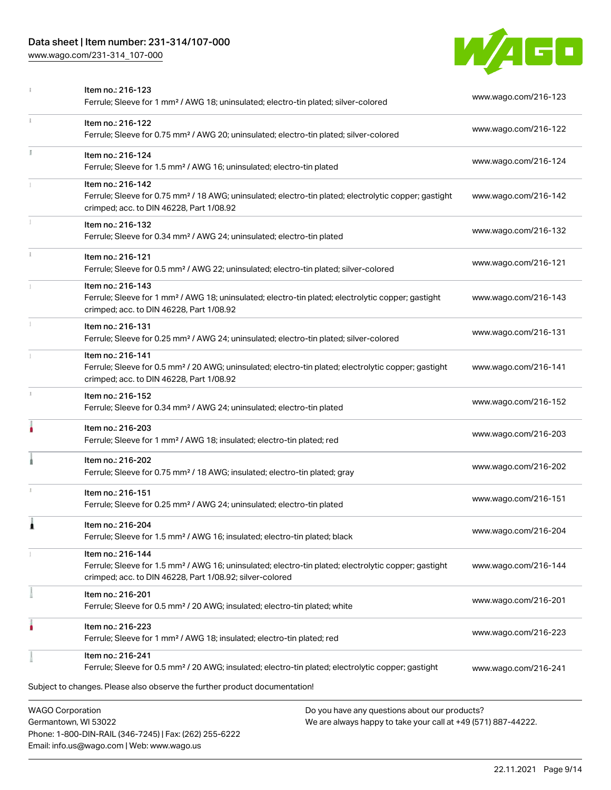# Data sheet | Item number: 231-314/107-000

[www.wago.com/231-314\\_107-000](http://www.wago.com/231-314_107-000)

Email: info.us@wago.com | Web: www.wago.us



|    | Item no.: 216-123<br>Ferrule; Sleeve for 1 mm <sup>2</sup> / AWG 18; uninsulated; electro-tin plated; silver-colored                                                                                                        | www.wago.com/216-123 |
|----|-----------------------------------------------------------------------------------------------------------------------------------------------------------------------------------------------------------------------------|----------------------|
|    | Item no.: 216-122<br>Ferrule; Sleeve for 0.75 mm <sup>2</sup> / AWG 20; uninsulated; electro-tin plated; silver-colored                                                                                                     | www.wago.com/216-122 |
| I. | Item no.: 216-124<br>Ferrule; Sleeve for 1.5 mm <sup>2</sup> / AWG 16; uninsulated; electro-tin plated                                                                                                                      | www.wago.com/216-124 |
|    | Item no.: 216-142<br>Ferrule; Sleeve for 0.75 mm <sup>2</sup> / 18 AWG; uninsulated; electro-tin plated; electrolytic copper; gastight<br>crimped; acc. to DIN 46228, Part 1/08.92                                          | www.wago.com/216-142 |
|    | Item no.: 216-132<br>Ferrule; Sleeve for 0.34 mm <sup>2</sup> / AWG 24; uninsulated; electro-tin plated                                                                                                                     | www.wago.com/216-132 |
| i. | Item no.: 216-121<br>Ferrule; Sleeve for 0.5 mm <sup>2</sup> / AWG 22; uninsulated; electro-tin plated; silver-colored                                                                                                      | www.wago.com/216-121 |
|    | Item no.: 216-143<br>Ferrule; Sleeve for 1 mm <sup>2</sup> / AWG 18; uninsulated; electro-tin plated; electrolytic copper; gastight<br>crimped; acc. to DIN 46228, Part 1/08.92                                             | www.wago.com/216-143 |
|    | Item no.: 216-131<br>Ferrule; Sleeve for 0.25 mm <sup>2</sup> / AWG 24; uninsulated; electro-tin plated; silver-colored                                                                                                     | www.wago.com/216-131 |
|    | Item no.: 216-141<br>Ferrule; Sleeve for 0.5 mm <sup>2</sup> / 20 AWG; uninsulated; electro-tin plated; electrolytic copper; gastight<br>crimped; acc. to DIN 46228, Part 1/08.92                                           | www.wago.com/216-141 |
| z. | Item no.: 216-152<br>Ferrule; Sleeve for 0.34 mm <sup>2</sup> / AWG 24; uninsulated; electro-tin plated                                                                                                                     | www.wago.com/216-152 |
|    | Item no.: 216-203<br>Ferrule; Sleeve for 1 mm <sup>2</sup> / AWG 18; insulated; electro-tin plated; red                                                                                                                     | www.wago.com/216-203 |
|    | Item no.: 216-202<br>Ferrule; Sleeve for 0.75 mm <sup>2</sup> / 18 AWG; insulated; electro-tin plated; gray                                                                                                                 | www.wago.com/216-202 |
|    | Item no.: 216-151<br>Ferrule; Sleeve for 0.25 mm <sup>2</sup> / AWG 24; uninsulated; electro-tin plated                                                                                                                     | www.wago.com/216-151 |
|    | Item no.: 216-204<br>Ferrule; Sleeve for 1.5 mm <sup>2</sup> / AWG 16; insulated; electro-tin plated; black                                                                                                                 | www.wago.com/216-204 |
|    | Item no.: 216-144<br>Ferrule; Sleeve for 1.5 mm <sup>2</sup> / AWG 16; uninsulated; electro-tin plated; electrolytic copper; gastight<br>crimped; acc. to DIN 46228, Part 1/08.92; silver-colored                           | www.wago.com/216-144 |
|    | Item no.: 216-201<br>Ferrule; Sleeve for 0.5 mm <sup>2</sup> / 20 AWG; insulated; electro-tin plated; white                                                                                                                 | www.wago.com/216-201 |
|    | Item no.: 216-223<br>Ferrule; Sleeve for 1 mm <sup>2</sup> / AWG 18; insulated; electro-tin plated; red                                                                                                                     | www.wago.com/216-223 |
|    | Item no.: 216-241<br>Ferrule; Sleeve for 0.5 mm <sup>2</sup> / 20 AWG; insulated; electro-tin plated; electrolytic copper; gastight                                                                                         | www.wago.com/216-241 |
|    | Subject to changes. Please also observe the further product documentation!                                                                                                                                                  |                      |
|    | <b>WAGO Corporation</b><br>Do you have any questions about our products?<br>Germantown, WI 53022<br>We are always happy to take your call at +49 (571) 887-44222.<br>Phone: 1-800-DIN-RAIL (346-7245)   Fax: (262) 255-6222 |                      |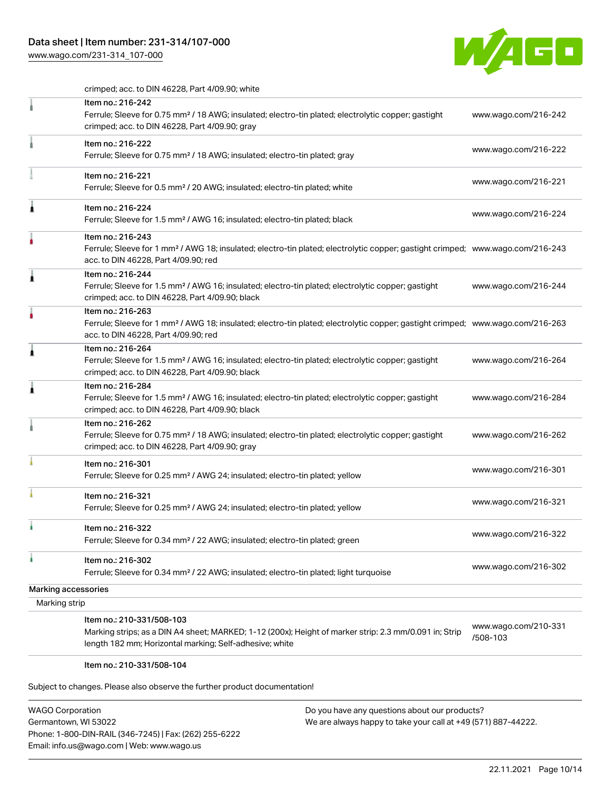# Data sheet | Item number: 231-314/107-000

[www.wago.com/231-314\\_107-000](http://www.wago.com/231-314_107-000)



crimped; acc. to DIN 46228, Part 4/09.90; white

|                                      | Item no.: 216-242<br>Ferrule; Sleeve for 0.75 mm <sup>2</sup> / 18 AWG; insulated; electro-tin plated; electrolytic copper; gastight<br>crimped; acc. to DIN 46228, Part 4/09.90; gray                  | www.wago.com/216-242             |
|--------------------------------------|---------------------------------------------------------------------------------------------------------------------------------------------------------------------------------------------------------|----------------------------------|
|                                      | Item no.: 216-222<br>Ferrule; Sleeve for 0.75 mm <sup>2</sup> / 18 AWG; insulated; electro-tin plated; gray                                                                                             | www.wago.com/216-222             |
|                                      | Item no.: 216-221<br>Ferrule; Sleeve for 0.5 mm <sup>2</sup> / 20 AWG; insulated; electro-tin plated; white                                                                                             | www.wago.com/216-221             |
| Â                                    | Item no.: 216-224<br>Ferrule; Sleeve for 1.5 mm <sup>2</sup> / AWG 16; insulated; electro-tin plated; black                                                                                             | www.wago.com/216-224             |
|                                      | Item no.: 216-243<br>Ferrule; Sleeve for 1 mm <sup>2</sup> / AWG 18; insulated; electro-tin plated; electrolytic copper; gastight crimped; www.wago.com/216-243<br>acc. to DIN 46228, Part 4/09.90; red |                                  |
| Â                                    | Item no.: 216-244<br>Ferrule; Sleeve for 1.5 mm <sup>2</sup> / AWG 16; insulated; electro-tin plated; electrolytic copper; gastight<br>crimped; acc. to DIN 46228, Part 4/09.90; black                  | www.wago.com/216-244             |
|                                      | Item no.: 216-263<br>Ferrule; Sleeve for 1 mm <sup>2</sup> / AWG 18; insulated; electro-tin plated; electrolytic copper; gastight crimped; www.wago.com/216-263<br>acc. to DIN 46228, Part 4/09.90; red |                                  |
| ۸                                    | Item no.: 216-264<br>Ferrule; Sleeve for 1.5 mm <sup>2</sup> / AWG 16; insulated; electro-tin plated; electrolytic copper; gastight<br>crimped; acc. to DIN 46228, Part 4/09.90; black                  | www.wago.com/216-264             |
| ۸                                    | Item no.: 216-284<br>Ferrule; Sleeve for 1.5 mm <sup>2</sup> / AWG 16; insulated; electro-tin plated; electrolytic copper; gastight<br>crimped; acc. to DIN 46228, Part 4/09.90; black                  | www.wago.com/216-284             |
|                                      | Item no.: 216-262<br>Ferrule; Sleeve for 0.75 mm <sup>2</sup> / 18 AWG; insulated; electro-tin plated; electrolytic copper; gastight<br>crimped; acc. to DIN 46228, Part 4/09.90; gray                  | www.wago.com/216-262             |
|                                      | Item no.: 216-301<br>Ferrule; Sleeve for 0.25 mm <sup>2</sup> / AWG 24; insulated; electro-tin plated; yellow                                                                                           | www.wago.com/216-301             |
|                                      | Item no.: 216-321<br>Ferrule; Sleeve for 0.25 mm <sup>2</sup> / AWG 24; insulated; electro-tin plated; yellow                                                                                           | www.wago.com/216-321             |
|                                      | Item no.: 216-322<br>Ferrule; Sleeve for 0.34 mm <sup>2</sup> / 22 AWG; insulated; electro-tin plated; green                                                                                            | www.wago.com/216-322             |
| à                                    | Item no.: 216-302<br>Ferrule; Sleeve for 0.34 mm <sup>2</sup> / 22 AWG; insulated; electro-tin plated; light turquoise                                                                                  | www.wago.com/216-302             |
| Marking accessories<br>Marking strip |                                                                                                                                                                                                         |                                  |
|                                      | Item no.: 210-331/508-103<br>Marking strips; as a DIN A4 sheet; MARKED; 1-12 (200x); Height of marker strip: 2.3 mm/0.091 in; Strip<br>length 182 mm; Horizontal marking; Self-adhesive; white          | www.wago.com/210-331<br>/508-103 |

#### Item no.: 210-331/508-104

Subject to changes. Please also observe the further product documentation!

| <b>WAGO Corporation</b>                                |
|--------------------------------------------------------|
| Germantown, WI 53022                                   |
| Phone: 1-800-DIN-RAIL (346-7245)   Fax: (262) 255-6222 |
| Email: info.us@wago.com   Web: www.wago.us             |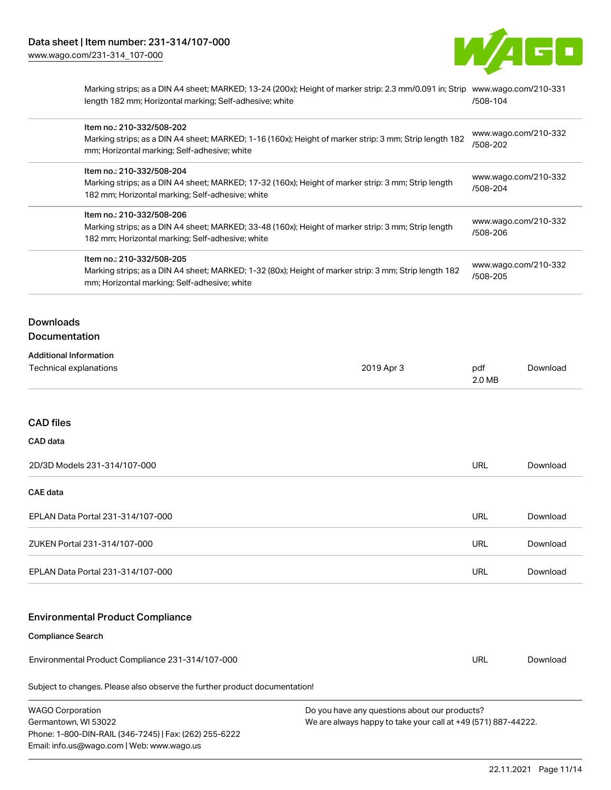

Marking strips; as a DIN A4 sheet; MARKED; 13-24 (200x); Height of marker strip: 2.3 mm/0.091 in; Strip [www.wago.com/210-331](http://www.wago.com/210-331/508-104) length 182 mm; Horizontal marking; Self-adhesive; white [/508-104](http://www.wago.com/210-331/508-104)

| Item no.: 210-332/508-202<br>Marking strips; as a DIN A4 sheet; MARKED; 1-16 (160x); Height of marker strip: 3 mm; Strip length 182<br>mm; Horizontal marking; Self-adhesive; white  | www.wago.com/210-332<br>/508-202 |
|--------------------------------------------------------------------------------------------------------------------------------------------------------------------------------------|----------------------------------|
| Item no.: 210-332/508-204<br>Marking strips; as a DIN A4 sheet; MARKED; 17-32 (160x); Height of marker strip: 3 mm; Strip length<br>182 mm; Horizontal marking; Self-adhesive; white | www.wago.com/210-332<br>/508-204 |
| Item no.: 210-332/508-206<br>Marking strips; as a DIN A4 sheet; MARKED; 33-48 (160x); Height of marker strip: 3 mm; Strip length<br>182 mm; Horizontal marking; Self-adhesive; white | www.wago.com/210-332<br>/508-206 |
| Item no.: 210-332/508-205<br>Marking strips; as a DIN A4 sheet; MARKED; 1-32 (80x); Height of marker strip: 3 mm; Strip length 182<br>mm; Horizontal marking; Self-adhesive; white   | www.wago.com/210-332<br>/508-205 |
|                                                                                                                                                                                      |                                  |

## **Downloads Documentation**

| <b>Additional Information</b> |            |        |          |
|-------------------------------|------------|--------|----------|
| Technical explanations        | 2019 Apr 3 | pdf    | Download |
|                               |            | 2.0 MB |          |

# CAD files

#### CAD data

| 2D/3D Models 231-314/107-000      | URL | Download |
|-----------------------------------|-----|----------|
| <b>CAE data</b>                   |     |          |
| EPLAN Data Portal 231-314/107-000 | URL | Download |
| ZUKEN Portal 231-314/107-000      | URL | Download |
| EPLAN Data Portal 231-314/107-000 | URL | Download |

## Environmental Product Compliance

# Compliance Search

Environmental Product Compliance 231-314/107-000

Subject to changes. Please also observe the further product documentation!

| <b>WAGO Corporation</b>                                | Do you have any questions about our products?                 |
|--------------------------------------------------------|---------------------------------------------------------------|
| Germantown, WI 53022                                   | We are always happy to take your call at +49 (571) 887-44222. |
| Phone: 1-800-DIN-RAIL (346-7245)   Fax: (262) 255-6222 |                                                               |
| Email: info.us@wago.com   Web: www.wago.us             |                                                               |

URL [Download](https://www.wago.com/global/d/ComplianceLinkMediaContainer_231-314_107-000)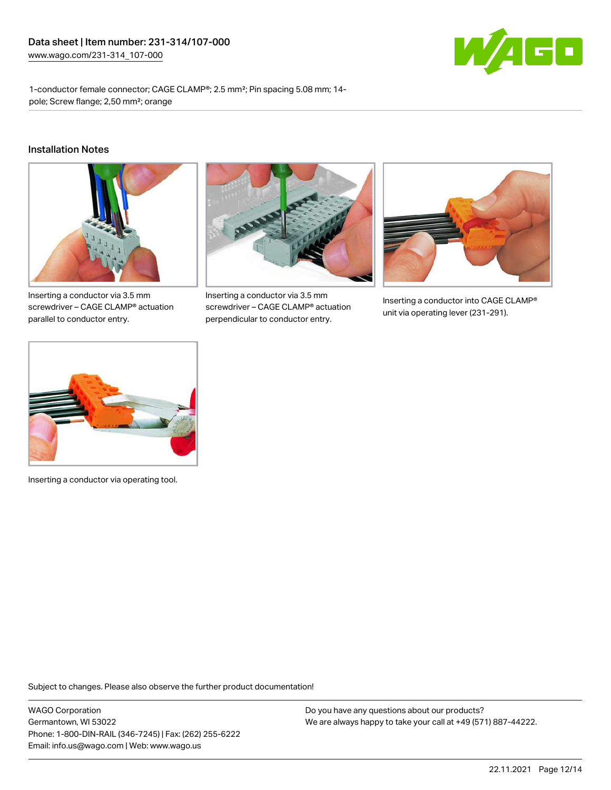

1-conductor female connector; CAGE CLAMP®; 2.5 mm²; Pin spacing 5.08 mm; 14 pole; Screw flange; 2,50 mm²; orange

#### Installation Notes



Inserting a conductor via 3.5 mm screwdriver – CAGE CLAMP® actuation parallel to conductor entry.



Inserting a conductor via 3.5 mm screwdriver – CAGE CLAMP® actuation perpendicular to conductor entry.



Inserting a conductor into CAGE CLAMP® unit via operating lever (231-291).



Inserting a conductor via operating tool.

Subject to changes. Please also observe the further product documentation!

WAGO Corporation Germantown, WI 53022 Phone: 1-800-DIN-RAIL (346-7245) | Fax: (262) 255-6222 Email: info.us@wago.com | Web: www.wago.us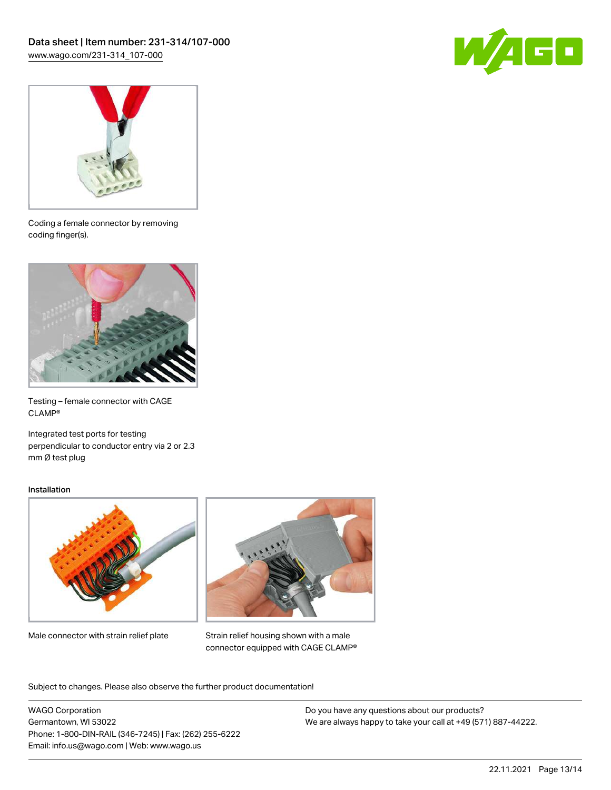



Coding a female connector by removing coding finger(s).



Testing – female connector with CAGE CLAMP®

Integrated test ports for testing perpendicular to conductor entry via 2 or 2.3 mm Ø test plug

#### Installation



Male connector with strain relief plate



Strain relief housing shown with a male connector equipped with CAGE CLAMP®

Subject to changes. Please also observe the further product documentation!

WAGO Corporation Germantown, WI 53022 Phone: 1-800-DIN-RAIL (346-7245) | Fax: (262) 255-6222 Email: info.us@wago.com | Web: www.wago.us